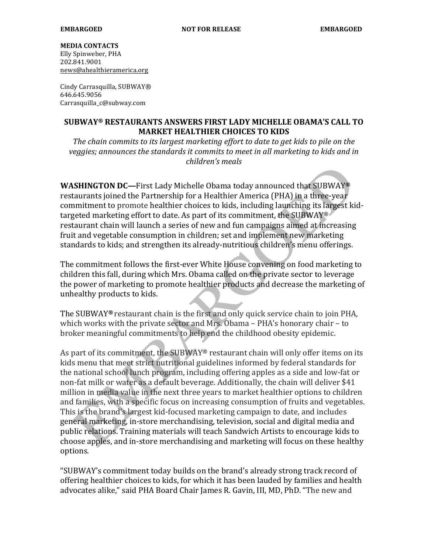## **MEDIA CONTACTS**

Elly Spinweber, PHA 202.841.9001 news@ahealthieramerica.org

Cindy Carrasquilla, SUBWAY® 646.645.9056 Carrasquilla\_c@subway.com

## SUBWAY® RESTAURANTS ANSWERS FIRST LADY MICHELLE OBAMA'S CALL TO **MARKET HEALTHIER CHOICES TO KIDS**

The chain commits to its largest marketing effort to date to get kids to pile on the yeggies; announces the standards it commits to meet in all marketing to kids and in children's meals

**WASHINGTON DC-First Lady Michelle Obama today announced that SUBWAY®** restaurants joined the Partnership for a Healthier America (PHA) in a three-year commitment to promote healthier choices to kids, including launching its largest kidtargeted marketing effort to date. As part of its commitment, the SUBWAY® restaurant chain will launch a series of new and fun campaigns aimed at increasing fruit and vegetable consumption in children; set and implement new marketing standards to kids; and strengthen its already-nutritious children's menu offerings.

The commitment follows the first-ever White House convening on food marketing to children this fall, during which Mrs. Obama called on the private sector to leverage the power of marketing to promote healthier products and decrease the marketing of unhealthy products to kids.

The SUBWAY® restaurant chain is the first and only quick service chain to join PHA, which works with the private sector and Mrs. Obama - PHA's honorary chair - to broker meaningful commitments to help end the childhood obesity epidemic.

As part of its commitment, the SUBWAY® restaurant chain will only offer items on its kids menu that meet strict nutritional guidelines informed by federal standards for the national school lunch program, including offering apples as a side and low-fat or non-fat milk or water as a default beverage. Additionally, the chain will deliver \$41 million in media value in the next three years to market healthier options to children and families, with a specific focus on increasing consumption of fruits and vegetables. This is the brand's largest kid-focused marketing campaign to date, and includes general marketing, in-store merchandising, television, social and digital media and public relations. Training materials will teach Sandwich Artists to encourage kids to choose apples, and in-store merchandising and marketing will focus on these healthy options.

"SUBWAY's commitment today builds on the brand's already strong track record of offering healthier choices to kids, for which it has been lauded by families and health advocates alike," said PHA Board Chair James R. Gavin, III, MD, PhD. "The new and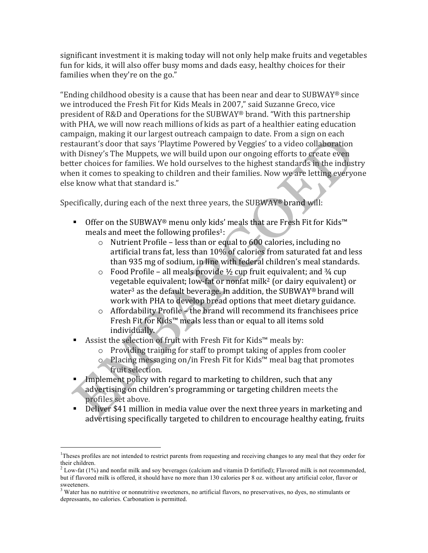significant investment it is making today will not only help make fruits and vegetables fun for kids, it will also offer busy moms and dads easy, healthy choices for their families when they're on the go."

"Ending childhood obesity is a cause that has been near and dear to SUBWAY® since we introduced the Fresh Fit for Kids Meals in 2007," said Suzanne Greco, vice president of R&D and Operations for the SUBWAY® brand. "With this partnership with PHA, we will now reach millions of kids as part of a healthier eating education campaign, making it our largest outreach campaign to date. From a sign on each restaurant's door that says 'Playtime Powered by Veggies' to a video collaboration with Disney's The Muppets, we will build upon our ongoing efforts to create even better choices for families. We hold ourselves to the highest standards in the industry when it comes to speaking to children and their families. Now we are letting everyone else know what that standard is."

Specifically, during each of the next three years, the SUBWAY® brand will:

- Offer on the SUBWAY® menu only kids' meals that are Fresh Fit for Kids™ meals and meet the following profiles<sup>1</sup>:
	- $\circ$  Nutrient Profile less than or equal to 600 calories, including no artificial trans fat, less than 10% of calories from saturated fat and less than 935 mg of sodium, in line with federal children's meal standards.
	- $\circ$  Food Profile all meals provide 1/2 cup fruit equivalent; and 3/4 cup vegetable equivalent; low-fat or nonfat milk<sup>2</sup> (or dairy equivalent) or water<sup>3</sup> as the default beverage. In addition, the SUBWAY® brand will work with PHA to develop bread options that meet dietary guidance.
	- $\circ$  Affordability Profile the brand will recommend its franchisees price Fresh Fit for Kids™ meals less than or equal to all items sold individually.
- Assist the selection of fruit with Fresh Fit for Kids™ meals by:
	- $\circ$  Providing training for staff to prompt taking of apples from cooler
	- o 
	in Placing messaging on/in Fresh Fit for Kids™ meal bag that promotes fruit selection.
- Implement policy with regard to marketing to children, such that any advertising on children's programming or targeting children meets the profiles set above.
- Deliver \$41 million in media value over the next three years in marketing and advertising specifically targeted to children to encourage healthy eating, fruits

<sup>&</sup>lt;sup>1</sup>Theses profiles are not intended to restrict parents from requesting and receiving changes to any meal that they order for their children.

 $2$  Low-fat (1%) and nonfat milk and soy beverages (calcium and vitamin D fortified); Flavored milk is not recommended, but if flavored milk is offered, it should have no more than 130 calories per 8 oz. without any artificial color, flavor or sweeteners.

<sup>&</sup>lt;sup>3</sup> Water has no nutritive or nonnutritive sweeteners, no artificial flavors, no preservatives, no dyes, no stimulants or depressants, no calories. Carbonation is permitted.